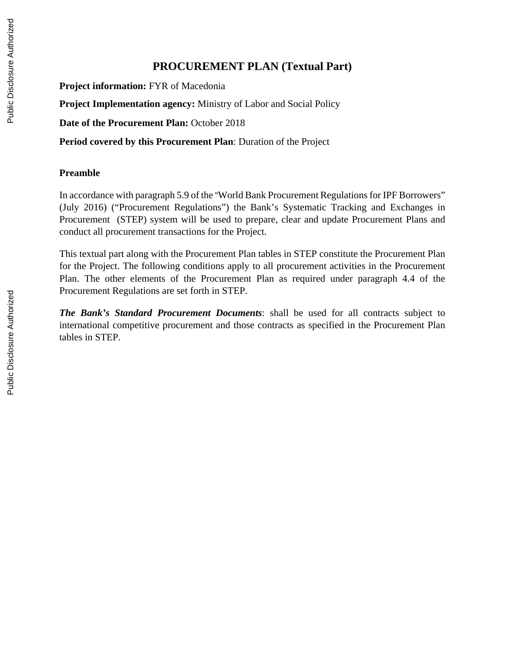## **PROCUREMENT PLAN (Textual Part)**

**Project information:** FYR of Macedonia

**Project Implementation agency:** Ministry of Labor and Social Policy

**Date of the Procurement Plan:** October 2018

**Period covered by this Procurement Plan**: Duration of the Project

## **Preamble**

In accordance with paragraph 5.9 of the "World Bank Procurement Regulations for IPF Borrowers" (July 2016) ("Procurement Regulations") the Bank's Systematic Tracking and Exchanges in Procurement (STEP) system will be used to prepare, clear and update Procurement Plans and conduct all procurement transactions for the Project.

This textual part along with the Procurement Plan tables in STEP constitute the Procurement Plan for the Project. The following conditions apply to all procurement activities in the Procurement Plan. The other elements of the Procurement Plan as required under paragraph 4.4 of the Procurement Regulations are set forth in STEP.

*The Bank's Standard Procurement Documents*: shall be used for all contracts subject to international competitive procurement and those contracts as specified in the Procurement Plan tables in STEP.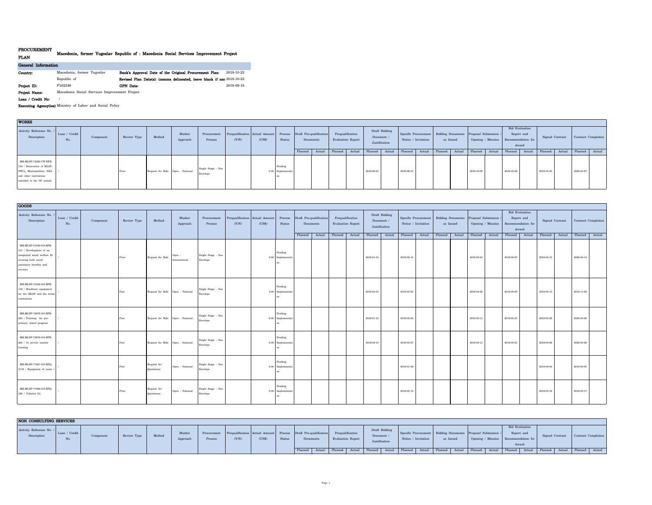## **PROCUREMENT**

## **PLAN Macedonia, former Yugoslav Republic of : Macedonia Social Services Improvement Project**

| General Information |                                               |                                                                        |            |
|---------------------|-----------------------------------------------|------------------------------------------------------------------------|------------|
| Country:            | Macedonia, former Yugoslav                    | Bank's Approval Date of the Original Procurement Plan:                 | 2018-10-22 |
|                     | Republic of                                   | Revised Plan Date(s): (comma delineated, leave blank if non 2018-10-22 |            |
| Project ID:         | P162246                                       | <b>GPN</b> Date:                                                       | 2018-09-18 |
| Project Name:       | Macedonia Social Services Improvement Project |                                                                        |            |

**Loan / Credit No:** /

**Executing Agency(ies):**Ministry of Labor and Social Policy

| <b>WORKS</b>                                                                                                                           |                      |           |             |                                  |                    |                                |                                         |        |                              |                                 |           |         |                                       |           |                                              |            |                     |         |           |                                                              |                                      |                                              |           |                 |                     |  |
|----------------------------------------------------------------------------------------------------------------------------------------|----------------------|-----------|-------------|----------------------------------|--------------------|--------------------------------|-----------------------------------------|--------|------------------------------|---------------------------------|-----------|---------|---------------------------------------|-----------|----------------------------------------------|------------|---------------------|---------|-----------|--------------------------------------------------------------|--------------------------------------|----------------------------------------------|-----------|-----------------|---------------------|--|
| Activity Reference No. /<br>Description                                                                                                | Loan / Credit<br>No. | Component | Review Type | Method                           | Market<br>Approach | Procurement<br>Process         | Prequalification Actual Amount<br>(Y/N) | (US\$) | Status                       | Process Draft Pre-qualification | Documents |         | Prequalification<br>Evaluation Report |           | Draft Bidding<br>Document /<br>Justification |            | Notice / Invitation |         | as Issued | Specific Procurement Bidding Documents Proposal Submission / | Opening / Minutes Recommendation for | <b>Bid Evaluation</b><br>Report and<br>Award |           | Signed Contract | Contract Completion |  |
|                                                                                                                                        |                      |           |             |                                  |                    |                                |                                         |        |                              | Planned   Actual                |           | Planned | Actual                                | Planned   | Actual                                       | Planned    | Actual              | Planned | Actual    | Planned   Actual                                             | Planned                              | Actual                                       | Planned   | Actual          | Planned Actual      |  |
| MK-MLSP-72220-CW-RFB-<br>134 / Renovation of MLSP,<br>SWCs, Municipalities, NEA<br>and other institutions<br>included in the SP system |                      |           | Prior       | Request for Bids Open - National |                    | Single Stage - One<br>Envelope |                                         |        | Pending<br>0.00 Implementati |                                 |           |         |                                       | 2019-08-0 |                                              | 2019-08-31 |                     |         |           | 2019-10-05                                                   | 2019-10-22                           |                                              | 2019-10-3 |                 | 2020-04-27          |  |

| <b>GOODS</b>                                                                                                                                    |                      |           |             |                                  |                         |                                |                                         |        |                                |                                      |                                       |                             |               |                                                                                                          |                                             |           |                                         |            |                   |                                              |                    |            |                               |                     |  |
|-------------------------------------------------------------------------------------------------------------------------------------------------|----------------------|-----------|-------------|----------------------------------|-------------------------|--------------------------------|-----------------------------------------|--------|--------------------------------|--------------------------------------|---------------------------------------|-----------------------------|---------------|----------------------------------------------------------------------------------------------------------|---------------------------------------------|-----------|-----------------------------------------|------------|-------------------|----------------------------------------------|--------------------|------------|-------------------------------|---------------------|--|
| Activity Reference No.<br>Description                                                                                                           | Loan / Credit<br>No. | Component | Review Type | Method                           | Market<br>Approach      | Procurement<br>Process         | Prequalification Actual Amount<br>(Y/N) | (US\$) | Process<br>Status              | Draft Pre-qualification<br>Documents | Prequalification<br>Evaluation Report | Document /<br>Justification | Draft Bidding |                                                                                                          | Specific Procurement<br>Notice / Invitation | as Issued | Bidding Documents Proposal Submission / |            | Opening / Minutes | <b>Bid Evaluation</b><br>Report and<br>Award | Recommendation for |            | Signed Contract               | Contract Completion |  |
|                                                                                                                                                 |                      |           |             |                                  |                         |                                |                                         |        |                                |                                      |                                       |                             |               | Planned Actual Planned Actual Planned Actual Planned Actual Planned Actual Planned Actual Planned Actual |                                             |           |                                         |            |                   |                                              |                    |            | Planned Actual Planned Actual |                     |  |
| MK-MLSP-72180-GO-RFB-<br>131 / Development of an<br>integrated social welfare IS<br>covering both social<br>assistance benefits and<br>services |                      |           | Prior       | Request for Bids                 | Open -<br>International | Single Stage - One<br>Envelope |                                         |        | Pending<br>$0.00$ Implementati |                                      |                                       | 2019-01-15                  |               | 2019-02-14                                                                                               |                                             |           |                                         | 2019-03-21 |                   | 2019-04-07                                   |                    | 2019-04-15 |                               | 2020-04-14          |  |
| MK-MLSP-72182-GO-RFB-<br>132 / Hardware equipment<br>for the MLSP and the social<br>institutions                                                |                      |           | Post        | Request for Bids Open - National |                         | Single Stage - One<br>Envelope |                                         |        | Pending<br>0.00 Implementati   |                                      |                                       | 2019-03-01                  |               | 2019-03-21                                                                                               |                                             |           |                                         | 2019-04-25 |                   | 2019-05-05                                   |                    | 2019-05-13 |                               | 2019-11-09          |  |
| MK-MLSP-72678-GO-RFB-<br>223 / Training for pre-<br>primary school program                                                                      |                      |           | Post        | Request for Bids Open - National |                         | Single Stage - One<br>Envelope |                                         |        | Pending<br>0.00 Implementati   |                                      |                                       | 2019-01-15                  |               | 2019-02-04                                                                                               |                                             |           |                                         | 2019-03-11 |                   | 2019-03-21                                   |                    | 2019-03-29 |                               | 2020-03-28          |  |
| MK-MLSP-72679-GO-RFB-<br>224 / In service teacher<br>training                                                                                   |                      |           | Post        | Request for Bids Open - National |                         | Single Stage - One<br>Envelope |                                         |        | Pending<br>0.00 Implementati   |                                      |                                       | 2019-02-15                  |               | 2019-03-07                                                                                               |                                             |           |                                         | 2019-04-11 |                   | 2019-04-21                                   |                    | 2019-04-29 |                               | 2020-04-28          |  |
| MK-MLSP-77087-GO-RFQ-<br>3118 / Equipment (4 years                                                                                              |                      |           | Post        | Request for<br>Quotations        | Open - National         | Single Stage - One<br>Envelope |                                         |        | Pending<br>0.00 Implementati   |                                      |                                       |                             |               | 2019-01-09                                                                                               |                                             |           |                                         |            |                   |                                              |                    | 2019-02-04 |                               | 2019-04-05          |  |
| MK-MLSP-77092-GO-RFQ-<br>326 / Vehicles (2)                                                                                                     |                      |           | Prior       | Request for<br>Quotations        | Open - National         | Single Stage - One<br>Envelope |                                         |        | Pending<br>0.00 Implementati   |                                      |                                       |                             |               | 2019-02-15                                                                                               |                                             |           |                                         |            |                   |                                              |                    | 2019-03-18 |                               | 2019-05-17          |  |

| NON CONSULTING SERVICES                 |                      |           |             |        |                   |                        |       |        |               |                                                                                              |                          |                                            |                                                                                   |           |                                                             |                                |            |                 |                     |  |
|-----------------------------------------|----------------------|-----------|-------------|--------|-------------------|------------------------|-------|--------|---------------|----------------------------------------------------------------------------------------------|--------------------------|--------------------------------------------|-----------------------------------------------------------------------------------|-----------|-------------------------------------------------------------|--------------------------------|------------|-----------------|---------------------|--|
| Activity Reference No. /<br>Description | Loan / Credit<br>No. | Component | Review Type | Method | Market<br>Approac | Procurement<br>Process | (Y/N) | (US\$) | <b>Status</b> | Prequalification Actual Amount Process Draft Pre-qualification Prequalification<br>Documents | <b>Evaluation Report</b> | Draft Bidding<br>Document<br>Justification | Specific Procurement Bidding Documents Proposal Submission<br>Notice / Invitation | as Issued | Opening / Minutes Recommendation for                        | <b>Bid Evaluation</b><br>Award | Report and | Signed Contract | Contract Completion |  |
|                                         |                      |           |             |        |                   |                        |       |        |               | Planned Actual Planned Actual Planned Actual Planned Actual                                  |                          |                                            |                                                                                   |           | Planned Actual Planned Actual Planned Actual Planned Actual |                                |            |                 | Planned   Actual    |  |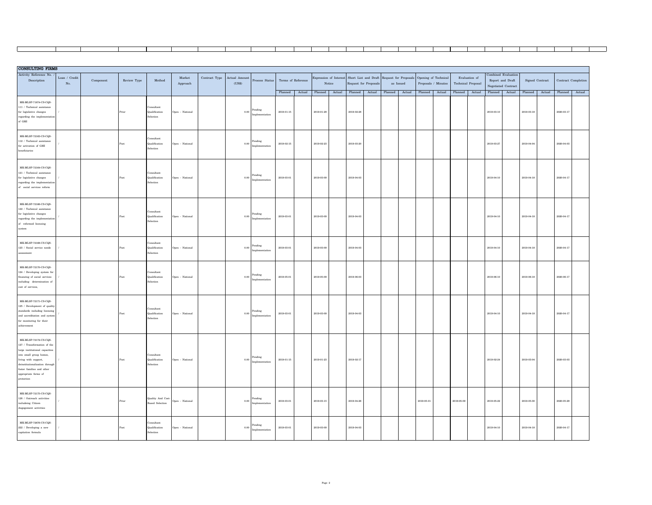| <b>CONSULTING FIRMS</b>                                                                                                                                                                                                                            |                                |           |             |                                                |                                   |               |                   |                           |                       |        |            |                |                                                                                        |        |                |            |                     |                    |               |                              |                       |        |                       |        |
|----------------------------------------------------------------------------------------------------------------------------------------------------------------------------------------------------------------------------------------------------|--------------------------------|-----------|-------------|------------------------------------------------|-----------------------------------|---------------|-------------------|---------------------------|-----------------------|--------|------------|----------------|----------------------------------------------------------------------------------------|--------|----------------|------------|---------------------|--------------------|---------------|------------------------------|-----------------------|--------|-----------------------|--------|
| Activity Reference No.                                                                                                                                                                                                                             | Loan / $\operatorname{Credit}$ |           |             |                                                | ${\it Market}$                    | Contract Type | Actual Amount     |                           |                       |        |            |                | Expression of Interest Short List and Draft Request for Proposals Opening of Technical |        |                |            |                     |                    | Evaluation of | Combined Evaluation          |                       |        |                       |        |
| Description                                                                                                                                                                                                                                        | No.                            | Component | Review Type | $\operatorname{\mathbf{Method}}$               | ${\Large\bf Approach}$            |               | ( <sup>US</sup> ) | Process Status            | Terms of Reference    |        |            | Notice         | Request for Proposals                                                                  |        | as Issued      |            | Proposals / Minutes | Technical Proposal |               | Report and Draft             | Signed Contract       |        | Contract Completion   |        |
|                                                                                                                                                                                                                                                    |                                |           |             |                                                |                                   |               |                   |                           |                       |        |            |                |                                                                                        |        |                |            |                     |                    |               | Negotiated Contract          |                       |        |                       |        |
| MK-MLSP-71874-CS-COS-<br>111 / Technical assistance<br>for legislative changes<br>regarding the implementation<br>of GMI                                                                                                                           |                                |           | Prior       | Consultant<br>Qualification<br>Selection       | $\mbox{\sf Open}$ - National      |               | 0.00              | Pending<br>Implementation | Planned<br>2019-01-15 | Actual | 2019-01-29 | Planned Actual | Planned<br>2019-02-28                                                                  | Actual | Planned Actual | Planned    | Actual              | Planned Actual     |               | Planned Actual<br>2019-03-10 | Planned<br>2019-03-18 | Actual | Planned<br>2020-03-17 | Actual |
| MK-MLSP-72163-CS-CQS-<br>$112$ / Technical assistance<br>for activation of GMI<br>beneficiaries                                                                                                                                                    |                                |           |             | onsultant<br>Qualification<br><b>Selection</b> | Open - National                   |               | 0.00              | Pending<br>Implementatio  | $2019 - 02 - 15$      |        | 2019-02-23 |                | 2019-03-20                                                                             |        |                |            |                     |                    |               | $2019 - 03 - 27$             | 2019-04-04            |        | 2020-04-03            |        |
| MK-MLSP-72164-CS-CQS-<br>121 / Technical assistance<br>for legislative changes<br>regarding the implementation<br>of social services reform                                                                                                        |                                |           |             | Consider<br>Qualification<br>${\bf Selection}$ | Open - National                   |               | 0.00              | Pending<br>Implementatio  | 2019-03-01            |        | 2019-03-09 |                | 2019-04-03                                                                             |        |                |            |                     |                    |               | $2019 - 04 - 10$             | 2019-04-18            |        | 2020-04-17            |        |
| MK-MLSP-72166-CS-COS-<br>122 / Technical assistance<br>for legislative changes<br>regarding the implementation<br>of reformed licensing<br>system                                                                                                  |                                |           | Post        | Consultant<br>Qualification<br>Selection       | $\mbox{\sf Open}$ - National      |               | 0.00              | Pending<br>Implementation | 2019-03-01            |        | 2019-03-09 |                | 2019-04-03                                                                             |        |                |            |                     |                    |               | 2019-04-10                   | 2019-04-18            |        | 2020-04-17            |        |
| MK-MLSP-72168-CS-COS-<br>$123\,$ / Social service needs<br>assessment                                                                                                                                                                              |                                |           |             | Consultant<br>Qualification<br>Selection       | Open - National                   |               | 0.00              | Pending<br>Implementation | 2019-03-01            |        | 2019-03-09 |                | 2019-04-03                                                                             |        |                |            |                     |                    |               | 2019-04-10                   | 2019-04-18            |        | 2020-04-17            |        |
| MK-MLSP-72170-CS-CQS-<br>124 / Developing system for<br>financing of social services<br>including determination of<br>cost of services,                                                                                                            |                                |           |             | Consultant<br>Qualification<br>$\rm Selection$ | Open - National                   |               | $_{0.00}$         | Pending<br>Implementation | 2019-05-01            |        | 2019-05-09 |                | 2019-06-03                                                                             |        |                |            |                     |                    |               | $2019 - 06 - 10$             | 2019-06-18            |        | $2020 - 06 - 17$      |        |
| MK-MLSP-72171-CS-CQS-<br>125 / Development of quality<br>standards including licensing<br>and accreditation and system<br>for monitoring for their<br>achievement                                                                                  |                                |           |             | Consultant<br>Qualification<br>Selection       | Open - National                   |               | 0.00              | Pending<br>Implementation | 2019-03-01            |        | 2019-03-09 |                | 2019-04-03                                                                             |        |                |            |                     |                    |               | 2019-04-10                   | 2019-04-18            |        | 2020-04-17            |        |
| MK-MLSP-72172-CS-COS-<br>$127\,$ / Transformation of the<br>large institutional capacities<br>into small group homes,<br>living with support,<br>deinstitutionalization through<br>foster families and other<br>appropriate forms of<br>protection |                                |           |             | Consultant<br>Qualification<br>Selection       | $\mbox{\texttt{Open}}$ - National |               | 0.00              | Pending<br>Implementation | 2019-01-15            |        | 2019-01-23 |                | 2019-02-17                                                                             |        |                |            |                     |                    |               | 2019-02-24                   | 2019-03-04            |        | 2020-03-03            |        |
| MK-MLSP-72175-CS-CQS-<br>$128$ / Outreach activities<br>includeing Citizen<br>Angegement activities                                                                                                                                                |                                |           | Prior       | Quality And Cost-<br><b>Based Selection</b>    | $\mbox{\texttt{Open}}$ - National |               | 0.00              | Pending<br>Implementation | 2019-03-01            |        | 2019-03-15 |                | 2019-04-26                                                                             |        |                | 2019-05-01 |                     | 2019-05-09         |               | 2019-05-22                   | 2019-05-30            |        | 2020-05-29            |        |
| MK-MLSP-72676-CS-CQS-<br>222 / Developing a new<br>capitation formula                                                                                                                                                                              |                                |           |             | onsultant<br>Qualification<br>Selection        | Open - National                   |               | $_{0.00}$         | Pending<br>Implementation | 2019-03-01            |        | 2019-03-09 |                | 2019-04-03                                                                             |        |                |            |                     |                    |               | $2019 - 04 - 10$             | 2019-04-18            |        | 2020-04-17            |        |